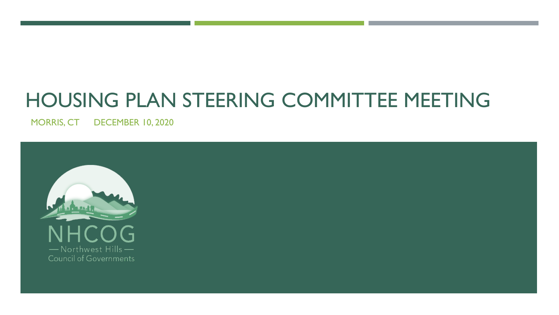# HOUSING PLAN STEERING COMMITTEE MEETING

MORRIS, CT DECEMBER 10, 2020

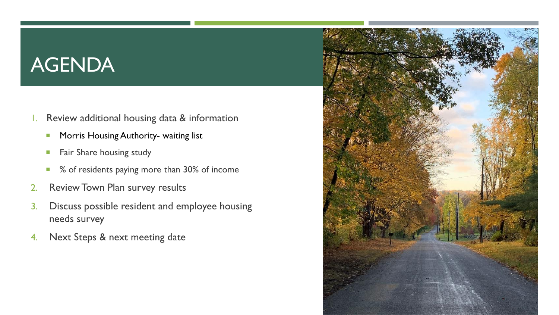# AGENDA

- 1. Review additional housing data & information
	- **Morris Housing Authority- waiting list**
	- **Fair Share housing study**
	- % of residents paying more than 30% of income
- 2. Review Town Plan survey results
- 3. Discuss possible resident and employee housing needs survey
- 4. Next Steps & next meeting date

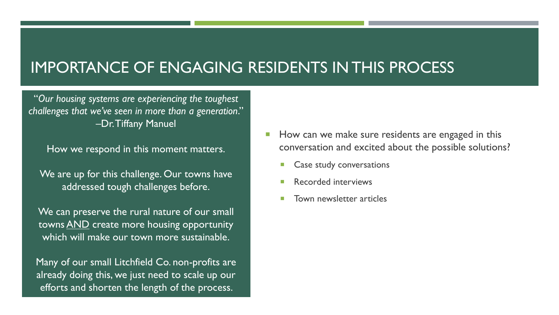### IMPORTANCE OF ENGAGING RESIDENTS IN THIS PROCESS

"*Our housing systems are experiencing the toughest challenges that we've seen in more than a generation*." –Dr. Tiffany Manuel

How we respond in this moment matters.

We are up for this challenge. Our towns have addressed tough challenges before.

We can preserve the rural nature of our small towns AND create more housing opportunity which will make our town more sustainable.

Many of our small Litchfield Co. non-profits are already doing this, we just need to scale up our efforts and shorten the length of the process.

- How can we make sure residents are engaged in this conversation and excited about the possible solutions?
	- Case study conversations
	- Recorded interviews
	- Town newsletter articles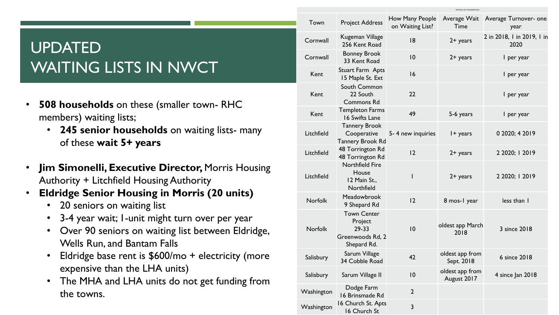# UPDATED WAITING LISTS IN NWCT

- **508 households** on these (smaller town- RHC members) waiting lists;
	- **245 senior households** on waiting lists- many of these **wait 5+ years**
- **Jim Simonelli, Executive Director,** Morris Housing Authority + Litchfield Housing Authority
- **Eldridge Senior Housing in Morris (20 units)**
	- 20 seniors on waiting list
	- 3-4 year wait; 1-unit might turn over per year
	- Over 90 seniors on waiting list between Eldridge, Wells Run, and Bantam Falls
	- Eldridge base rent is \$600/mo + electricity (more expensive than the LHA units)
	- The MHA and LHA units do not get funding from the towns.

|  | Town           | <b>Project Address</b>                                                    | How Many People<br>on Waiting List? | Average Wait<br>Time           | Average Turnover- one<br>year      |  |
|--|----------------|---------------------------------------------------------------------------|-------------------------------------|--------------------------------|------------------------------------|--|
|  | Cornwall       | Kugeman Village<br>256 Kent Road                                          | 18                                  | $2+$ years                     | 2 in 2018, I in 2019, I in<br>2020 |  |
|  | Cornwall       | <b>Bonney Brook</b><br>33 Kent Road                                       | 10                                  | $2 +$ years                    | I per year                         |  |
|  | Kent           | Stuart Farm Apts<br>15 Maple St. Ext                                      | 16                                  |                                | I per year                         |  |
|  | Kent           | South Common<br>22 South<br><b>Commons Rd</b>                             | 22                                  |                                | I per year                         |  |
|  | Kent           | <b>Templeton Farms</b><br>16 Swifts Lane                                  | 49                                  | 5-6 years                      | I per year                         |  |
|  | Litchfield     | <b>Tannery Brook</b><br>Cooperative<br>Tannery Brook Rd                   | 5-4 new inquiries                   | I + years                      | 0 2020; 4 2019                     |  |
|  | Litchfield     | 48 Torrington Rd<br>48 Torrington Rd                                      | 12                                  | $2+$ years                     | 2 2020; 1 2019                     |  |
|  | Litchfield     | <b>Northfield Fire</b><br>House<br>12 Main St.,<br>Northfield             | $\mathsf{I}$                        | $2+$ years                     | 2 2020; 1 2019                     |  |
|  | <b>Norfolk</b> | Meadowbrook<br>9 Shepard Rd                                               | 12                                  | 8 mos-1 year                   | less than I                        |  |
|  | <b>Norfolk</b> | <b>Town Center</b><br>Project<br>29-33<br>Greenwoods Rd, 2<br>Shepard Rd. | 10                                  | oldest app March<br>2018       | 3 since 2018                       |  |
|  | Salisbury      | Sarum Village<br>34 Cobble Road                                           | 42                                  | oldest app from<br>Sept. 2018  | 6 since 2018                       |  |
|  | Salisbury      | Sarum Village II                                                          | 10                                  | oldest app from<br>August 2017 | 4 since Jan 2018                   |  |
|  | Washington     | Dodge Farm<br>16 Brinsmade Rd                                             | $\overline{2}$                      |                                |                                    |  |
|  | Washington     | 16 Church St. Apts<br>16 Church St                                        | 3                                   |                                |                                    |  |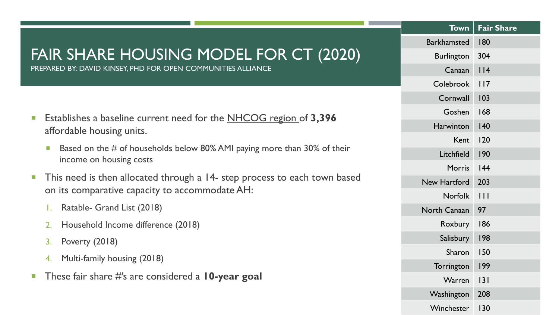|                             |                                                                                                                                      |  | <b>Town</b>        | <b>Fair Share</b> |
|-----------------------------|--------------------------------------------------------------------------------------------------------------------------------------|--|--------------------|-------------------|
|                             |                                                                                                                                      |  | <b>Barkhamsted</b> | 180               |
|                             | FAIR SHARE HOUSING MODEL FOR CT (2020)                                                                                               |  | <b>Burlington</b>  | 304               |
|                             | PREPARED BY: DAVID KINSEY, PHD FOR OPEN COMMUNITIES ALLIANCE                                                                         |  | Canaan             | $ $  4            |
|                             |                                                                                                                                      |  | Colebrook          | 117               |
|                             |                                                                                                                                      |  | Cornwall           | 103               |
| $\mathbb{R}^n$              | Establishes a baseline current need for the NHCOG region of 3,396<br>affordable housing units.                                       |  | Goshen             | 168               |
|                             |                                                                                                                                      |  | Harwinton          | 140               |
|                             |                                                                                                                                      |  | Kent               | 120               |
|                             | Based on the $#$ of households below 80% AMI paying more than 30% of their<br>$\mathcal{C}^{\mathcal{A}}$<br>income on housing costs |  | Litchfield         | 190               |
|                             |                                                                                                                                      |  | <b>Morris</b>      | 44                |
| $\mathcal{L}_{\mathcal{A}}$ | This need is then allocated through a 14- step process to each town based                                                            |  | New Hartford       | 203               |
|                             | on its comparative capacity to accommodate AH:                                                                                       |  | <b>Norfolk</b>     | $\overline{111}$  |
|                             | Ratable- Grand List (2018)<br>Ι.                                                                                                     |  | North Canaan       | 97                |
|                             | Household Income difference (2018)<br>2.                                                                                             |  | Roxbury            | 186               |
| 4.                          | Poverty (2018)<br>3.                                                                                                                 |  | Salisbury          | 198               |
|                             | Multi-family housing (2018)                                                                                                          |  | Sharon             | 150               |
|                             |                                                                                                                                      |  | Torrington         | 199               |
| $\mathcal{C}^{\mathcal{A}}$ | These fair share #'s are considered a $10$ -year goal                                                                                |  | Warren             | 3                 |
|                             |                                                                                                                                      |  | Washington         | 208               |
|                             |                                                                                                                                      |  | Winchester         | 130               |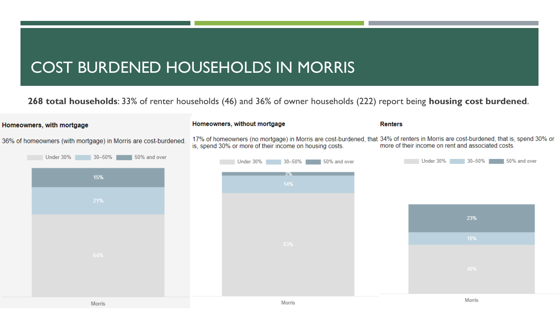## COST BURDENED HOUSEHOLDS IN MORRIS

**268 total households**: 33% of renter households (46) and 36% of owner households (222) report being **housing cost burdened**.

#### Homeowners, without mortgage **Renters** Homeowners, with mortgage 17% of homeowners (no mortgage) in Morris are cost-burdened, that 34% of renters in Morris are cost-burdened, that is, spend 30% or 36% of homeowners (with mortgage) in Morris are cost-burdened. more of their income on rent and associated costs. is, spend 30% or more of their income on housing costs. Under 30% 30-50% 50% and over Under 30% 30-50% 50% and over Under 30% 30-50% 50% and over 15% 23% 10% Morris Morris Morris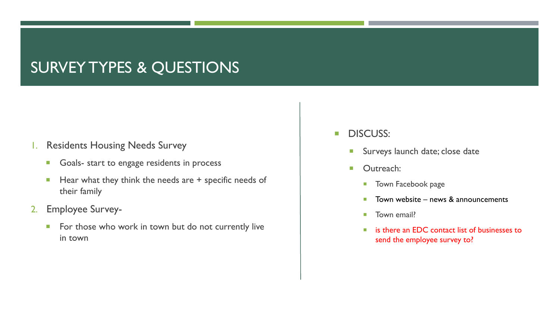## SURVEY TYPES & QUESTIONS

#### 1. Residents Housing Needs Survey

- Goals- start to engage residents in process
- $\blacksquare$  Hear what they think the needs are  $+$  specific needs of their family
- 2. Employee Survey-
	- For those who work in town but do not currently live in town
- **DISCUSS:** 
	- **Surveys launch date; close date**
	- **D** Outreach:
		- **Town Facebook page**
		- $\blacksquare$  Town website news & announcements
		- **Town email?**
		- is there an EDC contact list of businesses to send the employee survey to?